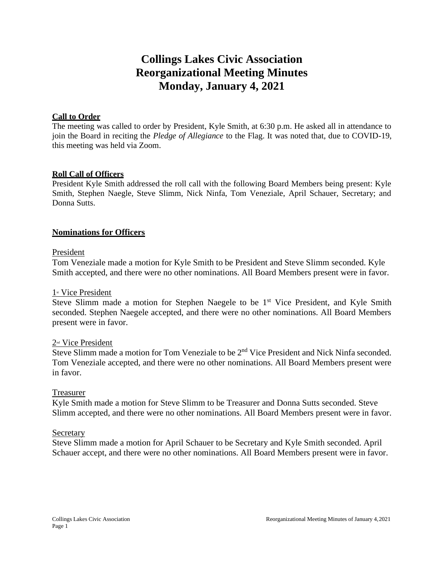# **Collings Lakes Civic Association Reorganizational Meeting Minutes Monday, January 4, 2021**

#### **Call to Order**

The meeting was called to order by President, Kyle Smith, at 6:30 p.m. He asked all in attendance to join the Board in reciting the *Pledge of Allegiance* to the Flag. It was noted that, due to COVID-19, this meeting was held via Zoom.

#### **Roll Call of Officers**

President Kyle Smith addressed the roll call with the following Board Members being present: Kyle Smith, Stephen Naegle, Steve Slimm, Nick Ninfa, Tom Veneziale, April Schauer, Secretary; and Donna Sutts.

#### **Nominations for Officers**

#### President

Tom Veneziale made a motion for Kyle Smith to be President and Steve Slimm seconded. Kyle Smith accepted, and there were no other nominations. All Board Members present were in favor.

#### 1<sup>st</sup> Vice President

Steve Slimm made a motion for Stephen Naegele to be  $1<sup>st</sup>$  Vice President, and Kyle Smith seconded. Stephen Naegele accepted, and there were no other nominations. All Board Members present were in favor.

#### 2nd Vice President

Steve Slimm made a motion for Tom Veneziale to be 2<sup>nd</sup> Vice President and Nick Ninfa seconded. Tom Veneziale accepted, and there were no other nominations. All Board Members present were in favor.

#### Treasurer

Kyle Smith made a motion for Steve Slimm to be Treasurer and Donna Sutts seconded. Steve Slimm accepted, and there were no other nominations. All Board Members present were in favor.

#### Secretary

Steve Slimm made a motion for April Schauer to be Secretary and Kyle Smith seconded. April Schauer accept, and there were no other nominations. All Board Members present were in favor.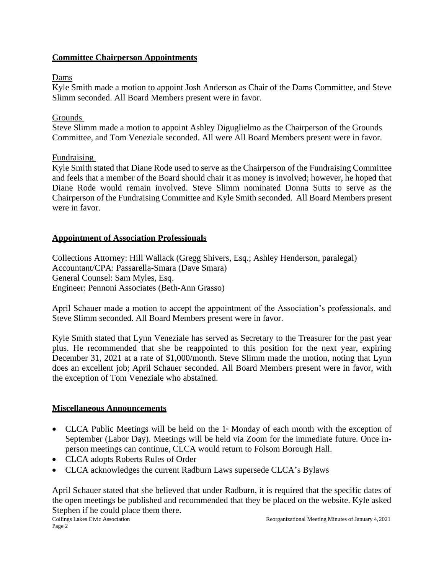# **Committee Chairperson Appointments**

# Dams

Kyle Smith made a motion to appoint Josh Anderson as Chair of the Dams Committee, and Steve Slimm seconded. All Board Members present were in favor.

# Grounds

Steve Slimm made a motion to appoint Ashley Diguglielmo as the Chairperson of the Grounds Committee, and Tom Veneziale seconded. All were All Board Members present were in favor.

# Fundraising

Kyle Smith stated that Diane Rode used to serve as the Chairperson of the Fundraising Committee and feels that a member of the Board should chair it as money is involved; however, he hoped that Diane Rode would remain involved. Steve Slimm nominated Donna Sutts to serve as the Chairperson of the Fundraising Committee and Kyle Smith seconded. All Board Members present were in favor.

# **Appointment of Association Professionals**

Collections Attorney: Hill Wallack (Gregg Shivers, Esq.; Ashley Henderson, paralegal) Accountant/CPA: Passarella-Smara (Dave Smara) General Counsel: Sam Myles, Esq. Engineer: Pennoni Associates (Beth-Ann Grasso)

April Schauer made a motion to accept the appointment of the Association's professionals, and Steve Slimm seconded. All Board Members present were in favor.

Kyle Smith stated that Lynn Veneziale has served as Secretary to the Treasurer for the past year plus. He recommended that she be reappointed to this position for the next year, expiring December 31, 2021 at a rate of \$1,000/month. Steve Slimm made the motion, noting that Lynn does an excellent job; April Schauer seconded. All Board Members present were in favor, with the exception of Tom Veneziale who abstained.

## **Miscellaneous Announcements**

- CLCA Public Meetings will be held on the  $1$ <sup>\*</sup> Monday of each month with the exception of September (Labor Day). Meetings will be held via Zoom for the immediate future. Once inperson meetings can continue, CLCA would return to Folsom Borough Hall.
- CLCA adopts Roberts Rules of Order
- CLCA acknowledges the current Radburn Laws supersede CLCA's Bylaws

April Schauer stated that she believed that under Radburn, it is required that the specific dates of the open meetings be published and recommended that they be placed on the website. Kyle asked Stephen if he could place them there.